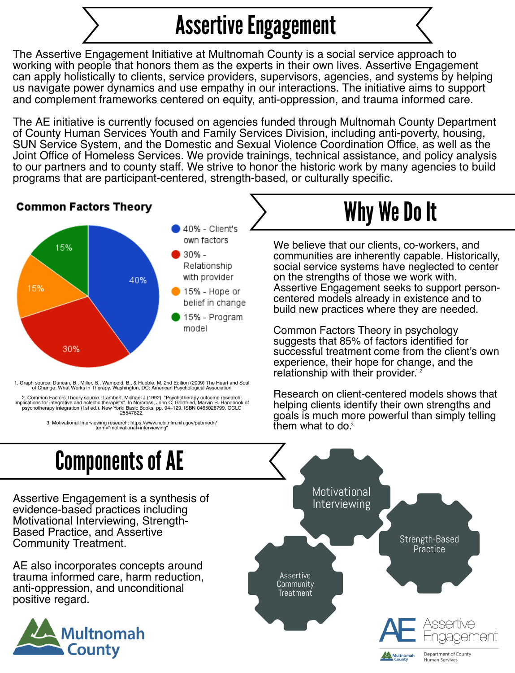The Assertive Engagement Initiative at Multnomah County is a social service approach to working with people that honors them as the experts in their own lives. Assertive Engagement can apply holistically to clients, service providers, supervisors, agencies, and systems by helping us navigate power dynamics and use empathy in our interactions. The initiative aims to support and complement frameworks centered on equity, anti-oppression, and trauma informed care.

The AE initiative is currently focused on agencies funded through Multnomah County Department of County Human Services Youth and Family Services Division, including anti-poverty, housing, SUN Service System, and the Domestic and Sexual Violence Coordination Office, as well as the Joint Office of Homeless Services. We provide trainings, technical assistance, and policy analysis to our partners and to county staff. We strive to honor the historic work by many agencies to build programs that are participant-centered, strength-based, or culturally specific.

> Common Factors Theory in psychology suggests that 85% of factors identified for successful treatment come from the client's own experience, their hope for change, and the relationship with their provider.<sup>1,2</sup>

# Assertive Engagement

evidence-based practices including Motivational Interviewing, Strength-Based Practice, and Assertive Community Treatment.



AE also incorporates concepts around trauma informed care, harm reduction, anti-oppression, and unconditional positive regard.



communities are inherently capable. Historically, social service systems have neglected to center on the strengths of those we work with. Assertive Engagement seeks to support personcentered models already in existence and to build new practices where they are needed.





1. Graph source: Duncan, B., Miller, S., Wampold, B., & Hubble, M. 2nd Edition (2009) The Heart and Soul of Change: What Works in Therapy. Washington, DC: American Psychological Association

Research on client-centered models shows that helping clients identify their own strengths and goals is much more powerful than simply telling them what to do. 3

**Human Servives** 

2. Common Factors Theory source : Lambert, Michael J (1992). "Psychotherapy outcome research: implications for integrative and eclectic therapists". In Norcross, John C; Goldfried, Marvin R. Handbook of psychotherapy integration (1st ed.). New York: Basic Books. pp. 94–129. ISBN 0465028799. OCLC 25547822.

> 3. Motivational Interviewing research: https://www.ncbi.nlm.nih.gov/pubmed/? term="motivational+interviewing"



- belief in change
- 15% Program model